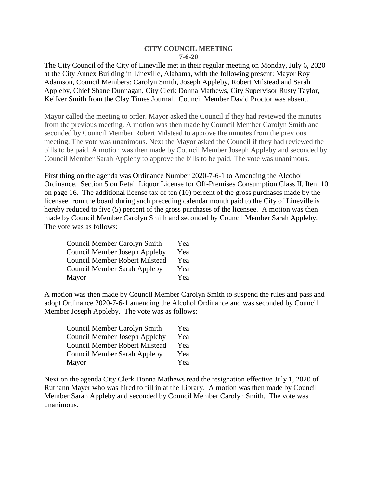## **CITY COUNCIL MEETING 7-6-20**

The City Council of the City of Lineville met in their regular meeting on Monday, July 6, 2020 at the City Annex Building in Lineville, Alabama, with the following present: Mayor Roy Adamson, Council Members: Carolyn Smith, Joseph Appleby, Robert Milstead and Sarah Appleby, Chief Shane Dunnagan, City Clerk Donna Mathews, City Supervisor Rusty Taylor, Keifver Smith from the Clay Times Journal. Council Member David Proctor was absent.

Mayor called the meeting to order. Mayor asked the Council if they had reviewed the minutes from the previous meeting. A motion was then made by Council Member Carolyn Smith and seconded by Council Member Robert Milstead to approve the minutes from the previous meeting. The vote was unanimous. Next the Mayor asked the Council if they had reviewed the bills to be paid. A motion was then made by Council Member Joseph Appleby and seconded by Council Member Sarah Appleby to approve the bills to be paid. The vote was unanimous.

First thing on the agenda was Ordinance Number 2020-7-6-1 to Amending the Alcohol Ordinance. Section 5 on Retail Liquor License for Off-Premises Consumption Class II, Item 10 on page 16. The additional license tax of ten (10) percent of the gross purchases made by the licensee from the board during such preceding calendar month paid to the City of Lineville is hereby reduced to five (5) percent of the gross purchases of the licensee. A motion was then made by Council Member Carolyn Smith and seconded by Council Member Sarah Appleby. The vote was as follows:

| Council Member Carolyn Smith          | Yea |
|---------------------------------------|-----|
| Council Member Joseph Appleby         | Yea |
| <b>Council Member Robert Milstead</b> | Yea |
| <b>Council Member Sarah Appleby</b>   | Yea |
| Mayor                                 | Yea |

A motion was then made by Council Member Carolyn Smith to suspend the rules and pass and adopt Ordinance 2020-7-6-1 amending the Alcohol Ordinance and was seconded by Council Member Joseph Appleby. The vote was as follows:

| <b>Council Member Carolyn Smith</b>   | Yea |
|---------------------------------------|-----|
| <b>Council Member Joseph Appleby</b>  | Yea |
| <b>Council Member Robert Milstead</b> | Yea |
| <b>Council Member Sarah Appleby</b>   | Yea |
| Mayor                                 | Yea |

Next on the agenda City Clerk Donna Mathews read the resignation effective July 1, 2020 of Ruthann Mayer who was hired to fill in at the Library. A motion was then made by Council Member Sarah Appleby and seconded by Council Member Carolyn Smith. The vote was unanimous.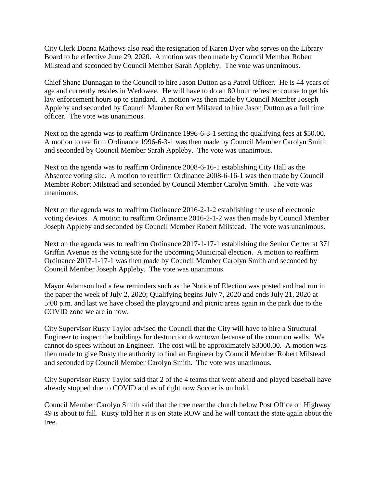City Clerk Donna Mathews also read the resignation of Karen Dyer who serves on the Library Board to be effective June 29, 2020. A motion was then made by Council Member Robert Milstead and seconded by Council Member Sarah Appleby. The vote was unanimous.

Chief Shane Dunnagan to the Council to hire Jason Dutton as a Patrol Officer. He is 44 years of age and currently resides in Wedowee. He will have to do an 80 hour refresher course to get his law enforcement hours up to standard. A motion was then made by Council Member Joseph Appleby and seconded by Council Member Robert Milstead to hire Jason Dutton as a full time officer. The vote was unanimous.

Next on the agenda was to reaffirm Ordinance 1996-6-3-1 setting the qualifying fees at \$50.00. A motion to reaffirm Ordinance 1996-6-3-1 was then made by Council Member Carolyn Smith and seconded by Council Member Sarah Appleby. The vote was unanimous.

Next on the agenda was to reaffirm Ordinance 2008-6-16-1 establishing City Hall as the Absentee voting site. A motion to reaffirm Ordinance 2008-6-16-1 was then made by Council Member Robert Milstead and seconded by Council Member Carolyn Smith. The vote was unanimous.

Next on the agenda was to reaffirm Ordinance 2016-2-1-2 establishing the use of electronic voting devices. A motion to reaffirm Ordinance 2016-2-1-2 was then made by Council Member Joseph Appleby and seconded by Council Member Robert Milstead. The vote was unanimous.

Next on the agenda was to reaffirm Ordinance 2017-1-17-1 establishing the Senior Center at 371 Griffin Avenue as the voting site for the upcoming Municipal election. A motion to reaffirm Ordinance 2017-1-17-1 was then made by Council Member Carolyn Smith and seconded by Council Member Joseph Appleby. The vote was unanimous.

Mayor Adamson had a few reminders such as the Notice of Election was posted and had run in the paper the week of July 2, 2020; Qualifying begins July 7, 2020 and ends July 21, 2020 at 5:00 p.m. and last we have closed the playground and picnic areas again in the park due to the COVID zone we are in now.

City Supervisor Rusty Taylor advised the Council that the City will have to hire a Structural Engineer to inspect the buildings for destruction downtown because of the common walls. We cannot do specs without an Engineer. The cost will be approximately \$3000.00. A motion was then made to give Rusty the authority to find an Engineer by Council Member Robert Milstead and seconded by Council Member Carolyn Smith. The vote was unanimous.

City Supervisor Rusty Taylor said that 2 of the 4 teams that went ahead and played baseball have already stopped due to COVID and as of right now Soccer is on hold.

Council Member Carolyn Smith said that the tree near the church below Post Office on Highway 49 is about to fall. Rusty told her it is on State ROW and he will contact the state again about the tree.